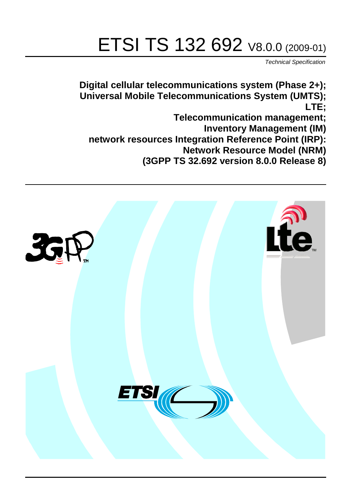# ETSI TS 132 692 V8.0.0 (2009-01)

*Technical Specification*

**Digital cellular telecommunications system (Phase 2+); Universal Mobile Telecommunications System (UMTS); LTE; Telecommunication management;**

**Inventory Management (IM)**

 **network resources Integration Reference Point (IRP):**

 **Network Resource Model (NRM)** 

**(3GPP TS 32.692 version 8.0.0 Release 8)**

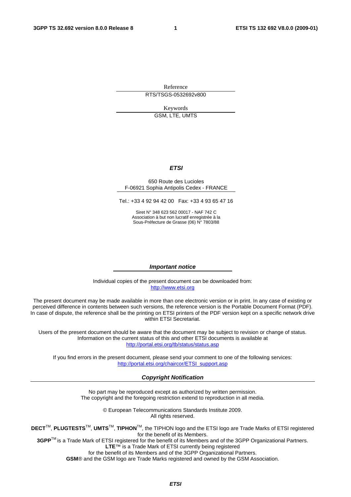Reference RTS/TSGS-0532692v800

Keywords

GSM, LTE, UMTS

#### *ETSI*

#### 650 Route des Lucioles F-06921 Sophia Antipolis Cedex - FRANCE

Tel.: +33 4 92 94 42 00 Fax: +33 4 93 65 47 16

Siret N° 348 623 562 00017 - NAF 742 C Association à but non lucratif enregistrée à la Sous-Préfecture de Grasse (06) N° 7803/88

#### *Important notice*

Individual copies of the present document can be downloaded from: [http://www.etsi.org](http://www.etsi.org/)

The present document may be made available in more than one electronic version or in print. In any case of existing or perceived difference in contents between such versions, the reference version is the Portable Document Format (PDF). In case of dispute, the reference shall be the printing on ETSI printers of the PDF version kept on a specific network drive within ETSI Secretariat.

Users of the present document should be aware that the document may be subject to revision or change of status. Information on the current status of this and other ETSI documents is available at <http://portal.etsi.org/tb/status/status.asp>

If you find errors in the present document, please send your comment to one of the following services: [http://portal.etsi.org/chaircor/ETSI\\_support.asp](http://portal.etsi.org/chaircor/ETSI_support.asp)

#### *Copyright Notification*

No part may be reproduced except as authorized by written permission. The copyright and the foregoing restriction extend to reproduction in all media.

> © European Telecommunications Standards Institute 2009. All rights reserved.

**DECT**TM, **PLUGTESTS**TM, **UMTS**TM, **TIPHON**TM, the TIPHON logo and the ETSI logo are Trade Marks of ETSI registered for the benefit of its Members.

**3GPP**TM is a Trade Mark of ETSI registered for the benefit of its Members and of the 3GPP Organizational Partners. **LTE**™ is a Trade Mark of ETSI currently being registered

for the benefit of its Members and of the 3GPP Organizational Partners.

**GSM**® and the GSM logo are Trade Marks registered and owned by the GSM Association.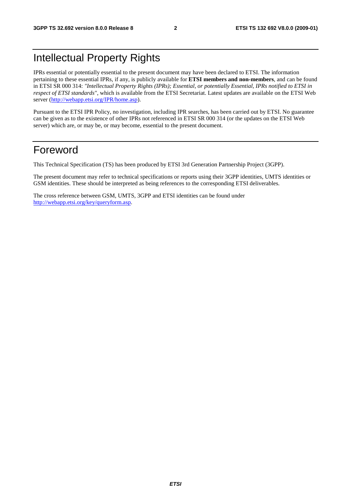## Intellectual Property Rights

IPRs essential or potentially essential to the present document may have been declared to ETSI. The information pertaining to these essential IPRs, if any, is publicly available for **ETSI members and non-members**, and can be found in ETSI SR 000 314: *"Intellectual Property Rights (IPRs); Essential, or potentially Essential, IPRs notified to ETSI in respect of ETSI standards"*, which is available from the ETSI Secretariat. Latest updates are available on the ETSI Web server ([http://webapp.etsi.org/IPR/home.asp\)](http://webapp.etsi.org/IPR/home.asp).

Pursuant to the ETSI IPR Policy, no investigation, including IPR searches, has been carried out by ETSI. No guarantee can be given as to the existence of other IPRs not referenced in ETSI SR 000 314 (or the updates on the ETSI Web server) which are, or may be, or may become, essential to the present document.

### Foreword

This Technical Specification (TS) has been produced by ETSI 3rd Generation Partnership Project (3GPP).

The present document may refer to technical specifications or reports using their 3GPP identities, UMTS identities or GSM identities. These should be interpreted as being references to the corresponding ETSI deliverables.

The cross reference between GSM, UMTS, 3GPP and ETSI identities can be found under [http://webapp.etsi.org/key/queryform.asp.](http://webapp.etsi.org/key/queryform.asp)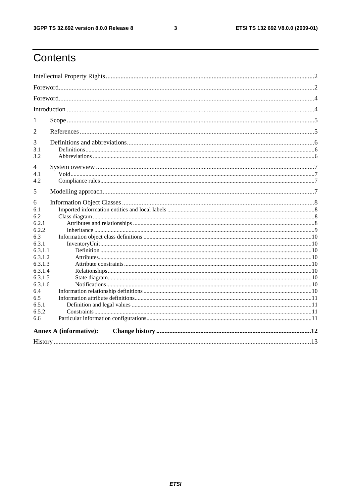#### $\mathbf{3}$

## Contents

| 1                  |                               |  |  |  |  |
|--------------------|-------------------------------|--|--|--|--|
| $\overline{2}$     |                               |  |  |  |  |
| 3                  |                               |  |  |  |  |
| 3.1<br>3.2         |                               |  |  |  |  |
|                    |                               |  |  |  |  |
| 4<br>4.1           |                               |  |  |  |  |
| 4.2                |                               |  |  |  |  |
| 5                  |                               |  |  |  |  |
| 6                  |                               |  |  |  |  |
| 6.1                |                               |  |  |  |  |
| 6.2                |                               |  |  |  |  |
| 6.2.1              |                               |  |  |  |  |
| 6.2.2              |                               |  |  |  |  |
| 6.3                |                               |  |  |  |  |
| 6.3.1              |                               |  |  |  |  |
| 6.3.1.1            |                               |  |  |  |  |
| 6.3.1.2<br>6.3.1.3 |                               |  |  |  |  |
| 6.3.1.4            |                               |  |  |  |  |
| 6.3.1.5            |                               |  |  |  |  |
| 6.3.1.6            |                               |  |  |  |  |
| 6.4                |                               |  |  |  |  |
| 6.5                |                               |  |  |  |  |
| 6.5.1              |                               |  |  |  |  |
| 6.5.2              |                               |  |  |  |  |
| 6.6                |                               |  |  |  |  |
|                    | <b>Annex A (informative):</b> |  |  |  |  |
|                    |                               |  |  |  |  |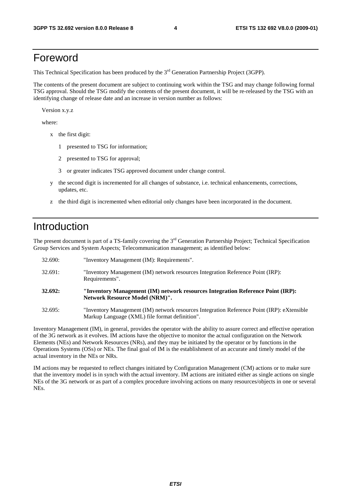## Foreword

This Technical Specification has been produced by the 3<sup>rd</sup> Generation Partnership Project (3GPP).

The contents of the present document are subject to continuing work within the TSG and may change following formal TSG approval. Should the TSG modify the contents of the present document, it will be re-released by the TSG with an identifying change of release date and an increase in version number as follows:

Version x.y.z

where:

- x the first digit:
	- 1 presented to TSG for information;
	- 2 presented to TSG for approval;
	- 3 or greater indicates TSG approved document under change control.
- y the second digit is incremented for all changes of substance, i.e. technical enhancements, corrections, updates, etc.
- z the third digit is incremented when editorial only changes have been incorporated in the document.

## Introduction

The present document is part of a TS-family covering the 3<sup>rd</sup> Generation Partnership Project; Technical Specification Group Services and System Aspects; Telecommunication management; as identified below:

| 32.690: | "Inventory Management (IM): Requirements".                                                                                                   |
|---------|----------------------------------------------------------------------------------------------------------------------------------------------|
| 32.691: | "Inventory Management (IM) network resources Integration Reference Point (IRP):<br>Requirements".                                            |
| 32.692: | "Inventory Management (IM) network resources Integration Reference Point (IRP):<br><b>Network Resource Model (NRM)".</b>                     |
| 32.695: | "Inventory Management (IM) network resources Integration Reference Point (IRP): eXtensible<br>Markup Language (XML) file format definition". |

Inventory Management (IM), in general, provides the operator with the ability to assure correct and effective operation of the 3G network as it evolves. IM actions have the objective to monitor the actual configuration on the Network Elements (NEs) and Network Resources (NRs), and they may be initiated by the operator or by functions in the Operations Systems (OSs) or NEs. The final goal of IM is the establishment of an accurate and timely model of the actual inventory in the NEs or NRs.

IM actions may be requested to reflect changes initiated by Configuration Management (CM) actions or to make sure that the inventory model is in synch with the actual inventory. IM actions are initiated either as single actions on single NEs of the 3G network or as part of a complex procedure involving actions on many resources/objects in one or several NEs.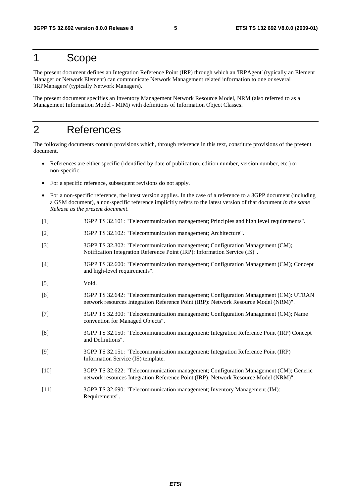## 1 Scope

The present document defines an Integration Reference Point (IRP) through which an 'IRPAgent' (typically an Element Manager or Network Element) can communicate Network Management related information to one or several 'IRPManagers' (typically Network Managers).

The present document specifies an Inventory Management Network Resource Model, NRM (also referred to as a Management Information Model - MIM) with definitions of Information Object Classes.

## 2 References

The following documents contain provisions which, through reference in this text, constitute provisions of the present document.

- References are either specific (identified by date of publication, edition number, version number, etc.) or non-specific.
- For a specific reference, subsequent revisions do not apply.
- For a non-specific reference, the latest version applies. In the case of a reference to a 3GPP document (including a GSM document), a non-specific reference implicitly refers to the latest version of that document *in the same Release as the present document*.
- [1] 3GPP TS 32.101: "Telecommunication management; Principles and high level requirements".
- [2] 3GPP TS 32.102: "Telecommunication management; Architecture".
- [3] 3GPP TS 32.302: "Telecommunication management; Configuration Management (CM); Notification Integration Reference Point (IRP): Information Service (IS)".
- [4] 3GPP TS 32.600: "Telecommunication management; Configuration Management (CM); Concept and high-level requirements".
- [5] Void.
- [6] 3GPP TS 32.642: "Telecommunication management; Configuration Management (CM): UTRAN network resources Integration Reference Point (IRP): Network Resource Model (NRM)".
- [7] 3GPP TS 32.300: "Telecommunication management; Configuration Management (CM); Name convention for Managed Objects".
- [8] 3GPP TS 32.150: "Telecommunication management; Integration Reference Point (IRP) Concept and Definitions".
- [9] 3GPP TS 32.151: "Telecommunication management; Integration Reference Point (IRP) Information Service (IS) template.
- [10] 3GPP TS 32.622: "Telecommunication management; Configuration Management (CM); Generic network resources Integration Reference Point (IRP): Network Resource Model (NRM)".
- [11] 3GPP TS 32.690: "Telecommunication management; Inventory Management (IM): Requirements".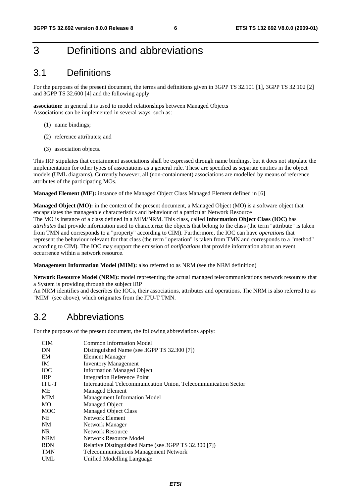## 3 Definitions and abbreviations

## 3.1 Definitions

For the purposes of the present document, the terms and definitions given in 3GPP TS 32.101 [1], 3GPP TS 32.102 [2] and 3GPP TS 32.600 [4] and the following apply:

**association:** in general it is used to model relationships between Managed Objects Associations can be implemented in several ways, such as:

- (1) name bindings;
- (2) reference attributes; and
- (3) association objects.

This IRP stipulates that containment associations shall be expressed through name bindings, but it does not stipulate the implementation for other types of associations as a general rule. These are specified as separate entities in the object models (UML diagrams). Currently however, all (non-containment) associations are modelled by means of reference attributes of the participating MOs.

**Managed Element (ME):** instance of the Managed Object Class Managed Element defined in [6]

**Managed Object (MO):** in the context of the present document, a Managed Object (MO) is a software object that encapsulates the manageable characteristics and behaviour of a particular Network Resource The MO is instance of a class defined in a MIM/NRM. This class, called **Information Object Class (IOC)** has *attributes* that provide information used to characterize the objects that belong to the class (the term "attribute" is taken from TMN and corresponds to a "property" according to CIM). Furthermore, the IOC can have *operations* that represent the behaviour relevant for that class (the term "operation" is taken from TMN and corresponds to a "method" according to CIM). The IOC may support the emission of *notifications* that provide information about an event occurrence within a network resource.

**Management Information Model (MIM):** also referred to as NRM (see the NRM definition)

**Network Resource Model (NRM):** model representing the actual managed telecommunications network resources that a System is providing through the subject IRP

An NRM identifies and describes the IOCs, their associations, attributes and operations. The NRM is also referred to as "MIM" (see above), which originates from the ITU-T TMN.

### 3.2 Abbreviations

For the purposes of the present document, the following abbreviations apply:

| <b>CIM</b>   | <b>Common Information Model</b>                                 |
|--------------|-----------------------------------------------------------------|
| DN           | Distinguished Name (see 3GPP TS 32.300 [7])                     |
| EM           | Element Manager                                                 |
| IM           | <b>Inventory Management</b>                                     |
| <b>IOC</b>   | <b>Information Managed Object</b>                               |
| <b>IRP</b>   | <b>Integration Reference Point</b>                              |
| <b>ITU-T</b> | International Telecommunication Union, Telecommunication Sector |
| МE           | <b>Managed Element</b>                                          |
| MIM          | <b>Management Information Model</b>                             |
| МO           | Managed Object                                                  |
| MOC          | <b>Managed Object Class</b>                                     |
| NE           | Network Element                                                 |
| NM           | Network Manager                                                 |
| NR.          | <b>Network Resource</b>                                         |
| <b>NRM</b>   | Network Resource Model                                          |
| <b>RDN</b>   | Relative Distinguished Name (see 3GPP TS 32.300 [7])            |
| <b>TMN</b>   | <b>Telecommunications Management Network</b>                    |
| UML          | Unified Modelling Language                                      |
|              |                                                                 |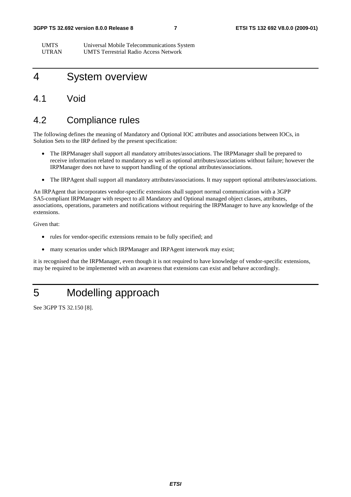#### **3GPP TS 32.692 version 8.0.0 Release 8 7 ETSI TS 132 692 V8.0.0 (2009-01)**

UMTS Universal Mobile Telecommunications System UTRAN UMTS Terrestrial Radio Access Network

## 4 System overview

#### 4.1 Void

#### 4.2 Compliance rules

The following defines the meaning of Mandatory and Optional IOC attributes and associations between IOCs, in Solution Sets to the IRP defined by the present specification:

- The IRPManager shall support all mandatory attributes/associations. The IRPManager shall be prepared to receive information related to mandatory as well as optional attributes/associations without failure; however the IRPManager does not have to support handling of the optional attributes/associations.
- The IRPAgent shall support all mandatory attributes/associations. It may support optional attributes/associations.

An IRPAgent that incorporates vendor-specific extensions shall support normal communication with a 3GPP SA5-compliant IRPManager with respect to all Mandatory and Optional managed object classes, attributes, associations, operations, parameters and notifications without requiring the IRPManager to have any knowledge of the extensions.

Given that:

- rules for vendor-specific extensions remain to be fully specified; and
- many scenarios under which IRPManager and IRPAgent interwork may exist;

it is recognised that the IRPManager, even though it is not required to have knowledge of vendor-specific extensions, may be required to be implemented with an awareness that extensions can exist and behave accordingly.

## 5 Modelling approach

See 3GPP TS 32.150 [8].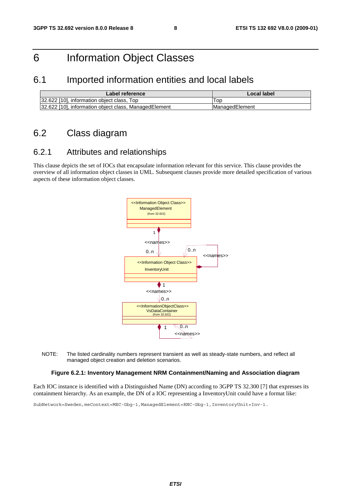## 6 Information Object Classes

#### 6.1 Imported information entities and local labels

| Label reference                                       | Local label           |
|-------------------------------------------------------|-----------------------|
| 32.622 [10], information object class, Top            | l op                  |
| 32.622 [10], information object class, ManagedElement | <b>ManagedElement</b> |

### 6.2 Class diagram

#### 6.2.1 Attributes and relationships

This clause depicts the set of IOCs that encapsulate information relevant for this service. This clause provides the overview of all information object classes in UML. Subsequent clauses provide more detailed specification of various aspects of these information object classes.



NOTE: The listed cardinality numbers represent transient as well as steady-state numbers, and reflect all managed object creation and deletion scenarios.

#### **Figure 6.2.1: Inventory Management NRM Containment/Naming and Association diagram**

Each IOC instance is identified with a Distinguished Name (DN) according to 3GPP TS 32.300 [7] that expresses its containment hierarchy. As an example, the DN of a IOC representing a InventoryUnit could have a format like:

SubNetwork=Sweden,meContext=MEC-Gbg-1,ManagedElement=RNC-Gbg-1,InventoryUnit=Inv-1.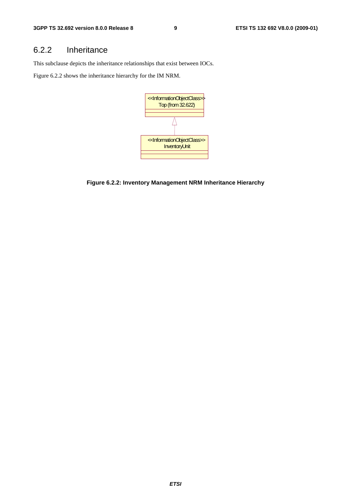#### 6.2.2 Inheritance

This subclause depicts the inheritance relationships that exist between IOCs.

Figure 6.2.2 shows the inheritance hierarchy for the IM NRM.



**Figure 6.2.2: Inventory Management NRM Inheritance Hierarchy**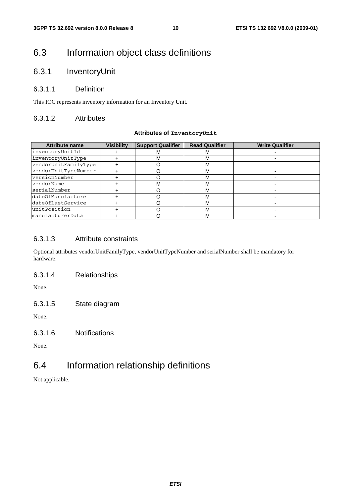## 6.3 Information object class definitions

#### 6.3.1 InventoryUnit

#### 6.3.1.1 Definition

This IOC represents inventory information for an Inventory Unit.

#### 6.3.1.2 Attributes

#### **Attributes of InventoryUnit**

| <b>Attribute name</b> | <b>Visibility</b> | <b>Support Qualifier</b> | <b>Read Qualifier</b> | <b>Write Qualifier</b> |
|-----------------------|-------------------|--------------------------|-----------------------|------------------------|
| inventoryUnitId       |                   |                          | M                     |                        |
| inventoryUnitType     |                   | М                        | м                     |                        |
| vendorUnitFamilyType  |                   |                          | М                     |                        |
| vendorUnitTypeNumber  |                   |                          | М                     |                        |
| versionNumber         |                   |                          | М                     |                        |
| vendorName            |                   | м                        | м                     |                        |
| serialNumber          |                   |                          | м                     |                        |
| dateOfManufacture     |                   |                          | м                     |                        |
| dateOfLastService     |                   |                          | М                     |                        |
| unitPosition          |                   |                          | М                     |                        |
| manufacturerData      |                   |                          | м                     |                        |

#### 6.3.1.3 Attribute constraints

Optional attributes vendorUnitFamilyType, vendorUnitTypeNumber and serialNumber shall be mandatory for hardware.

6.3.1.4 Relationships

None.

6.3.1.5 State diagram

None.

6.3.1.6 Notifications

None.

### 6.4 Information relationship definitions

Not applicable.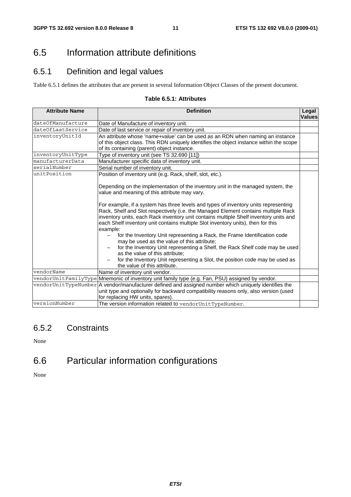## 6.5 Information attribute definitions

### 6.5.1 Definition and legal values

Table 6.5.1 defines the attributes that are present in several Information Object Classes of the present document.

#### **Table 6.5.1: Attributes**

| <b>Attribute Name</b> | <b>Definition</b>                                                                                                                                                                                                                                                                                                                                                                                                                                                                                                                                                                                                                                                                                                                                                                                                                                                                                                                    | Legal<br><b>Values</b> |  |  |  |
|-----------------------|--------------------------------------------------------------------------------------------------------------------------------------------------------------------------------------------------------------------------------------------------------------------------------------------------------------------------------------------------------------------------------------------------------------------------------------------------------------------------------------------------------------------------------------------------------------------------------------------------------------------------------------------------------------------------------------------------------------------------------------------------------------------------------------------------------------------------------------------------------------------------------------------------------------------------------------|------------------------|--|--|--|
| dateOfManufacture     | Date of Manufacture of inventory unit.                                                                                                                                                                                                                                                                                                                                                                                                                                                                                                                                                                                                                                                                                                                                                                                                                                                                                               |                        |  |  |  |
| dateOfLastService     | Date of last service or repair of inventory unit.                                                                                                                                                                                                                                                                                                                                                                                                                                                                                                                                                                                                                                                                                                                                                                                                                                                                                    |                        |  |  |  |
| inventoryUnitId       | An attribute whose 'name+value' can be used as an RDN when naming an instance<br>of this object class. This RDN uniquely identifies the object instance within the scope<br>of its containing (parent) object instance.                                                                                                                                                                                                                                                                                                                                                                                                                                                                                                                                                                                                                                                                                                              |                        |  |  |  |
| inventoryUnitType     | Type of inventory unit (see TS 32.690 [11])                                                                                                                                                                                                                                                                                                                                                                                                                                                                                                                                                                                                                                                                                                                                                                                                                                                                                          |                        |  |  |  |
| manufacturerData      | Manufacturer specific data of inventory unit.                                                                                                                                                                                                                                                                                                                                                                                                                                                                                                                                                                                                                                                                                                                                                                                                                                                                                        |                        |  |  |  |
| serialNumber          | Serial number of inventory unit.                                                                                                                                                                                                                                                                                                                                                                                                                                                                                                                                                                                                                                                                                                                                                                                                                                                                                                     |                        |  |  |  |
| unitPosition          | Position of inventory unit (e.g. Rack, shelf, slot, etc.).<br>Depending on the implementation of the inventory unit in the managed system, the<br>value and meaning of this attribute may vary.<br>For example, if a system has three levels and types of inventory units representing<br>Rack, Shelf and Slot respectively (i.e. the Managed Element contains multiple Rack<br>inventory units, each Rack inventory unit contains multiple Shelf inventory units and<br>each Shelf inventory unit contains multiple Slot inventory units), then for this<br>example:<br>for the Inventory Unit representing a Rack, the Frame Identification code<br>may be used as the value of this attribute;<br>for the Inventory Unit representing a Shelf, the Rack Shelf code may be used<br>as the value of this attribute;<br>for the Inventory Unit representing a Slot, the position code may be used as<br>the value of this attribute. |                        |  |  |  |
| vendorName            | Name of inventory unit vendor.                                                                                                                                                                                                                                                                                                                                                                                                                                                                                                                                                                                                                                                                                                                                                                                                                                                                                                       |                        |  |  |  |
|                       | vendorUnitFamilyType Mnemonic of inventory unit family type (e.g. Fan, PSU) assigned by vendor.                                                                                                                                                                                                                                                                                                                                                                                                                                                                                                                                                                                                                                                                                                                                                                                                                                      |                        |  |  |  |
|                       | vendorUnitTypeNumber A vendor/manufacturer defined and assigned number which uniquely identifies the<br>unit type and optionally for backward compatibility reasons only, also version (used<br>for replacing HW units, spares).                                                                                                                                                                                                                                                                                                                                                                                                                                                                                                                                                                                                                                                                                                     |                        |  |  |  |
| versionNumber         | The version information related to vendorUnitTypeNumber.                                                                                                                                                                                                                                                                                                                                                                                                                                                                                                                                                                                                                                                                                                                                                                                                                                                                             |                        |  |  |  |

#### 6.5.2 Constraints

None

## 6.6 Particular information configurations

None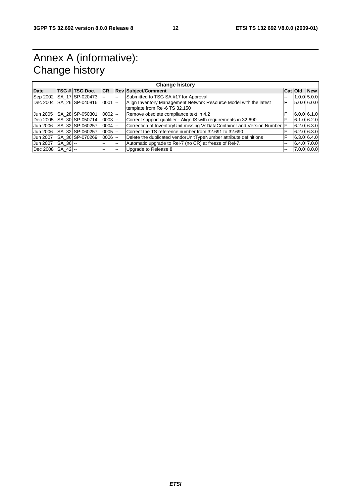## Annex A (informative): Change history

| <b>Change history</b> |             |                            |            |    |                                                                                                    |    |           |               |
|-----------------------|-------------|----------------------------|------------|----|----------------------------------------------------------------------------------------------------|----|-----------|---------------|
| <b>Date</b>           |             | <b>TSG # TSG Doc.</b>      | <b>CR</b>  |    | <b>Rev Subject/Comment</b>                                                                         |    | Cat   Old | <b>New</b>    |
| Sep 2002              |             | SA 17 SP-020473            |            | -- | Submitted to TSG SA #17 for Approval                                                               | -- |           | $1.0.0$ 5.0.0 |
| Dec 2004              |             | SA 26 SP-040816            | $0001$ --  |    | Align Inventory Management Network Resource Model with the latest<br>template from Rel-6 TS 32.150 | F  |           | $5.0.0$ 6.0.0 |
| Jun 2005              |             | ISA 28 SP-050301           | $0002$ --  |    | Remove obsolete compliance text in 4.2                                                             | F  |           | $6.0.0$ 6.1.0 |
|                       |             | Dec 2005   SA 30 SP-050714 | $0003$ --  |    | Correct support qualifier - Align IS with requirements in 32.690                                   | F  |           | $6.1.0$ 6.2.0 |
| Jun 2006              |             | SA 32 SP-060257            | $0004$ --  |    | Correction of InventoryUnit missing VsDataContainer and Version Number   F                         |    |           | $6.2.0$ 6.3.0 |
| Jun 2006              |             | SA_32 SP-060257            | $0005$ $-$ |    | Correct the TS reference number from 32,691 to 32,690                                              | F  |           | $6.2.0$ 6.3.0 |
| Jun 2007              |             | ISA 36 SP-070269           | $0006$ $-$ |    | Delete the duplicated vendorUnitTypeNumber attribute definitions                                   | F  |           | 6.3.0 6.4.0   |
| Jun 2007              | $ SA \t36 $ |                            | --         | -- | Automatic upgrade to Rel-7 (no CR) at freeze of Rel-7.                                             | -- |           | 6.4.0 7.0.0   |
| Dec 2008 SA 42 --     |             |                            | $- -$      | -- | Upgrade to Release 8                                                                               | -- |           | $7.0.0$ 8.0.0 |